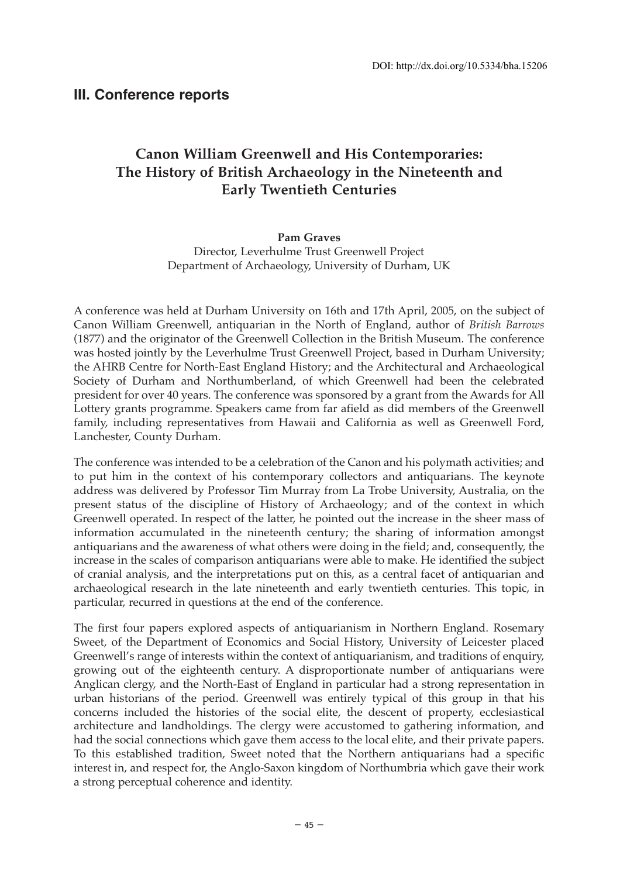## **Canon William Greenwell and His Contemporaries: The History of British Archaeology in the Nineteenth and Early Twentieth Centuries**

## **Pam Graves**

Director, Leverhulme Trust Greenwell Project Department of Archaeology, University of Durham, UK

A conference was held at Durham University on 16th and 17th April, 2005, on the subject of Canon William Greenwell, antiquarian in the North of England, author of *British Barrows* (1877) and the originator of the Greenwell Collection in the British Museum. The conference was hosted jointly by the Leverhulme Trust Greenwell Project, based in Durham University; the AHRB Centre for North-East England History; and the Architectural and Archaeological Society of Durham and Northumberland, of which Greenwell had been the celebrated president for over 40 years. The conference was sponsored by a grant from the Awards for All Lottery grants programme. Speakers came from far afield as did members of the Greenwell family, including representatives from Hawaii and California as well as Greenwell Ford, Lanchester, County Durham.

The conference was intended to be a celebration of the Canon and his polymath activities; and to put him in the context of his contemporary collectors and antiquarians. The keynote address was delivered by Professor Tim Murray from La Trobe University, Australia, on the present status of the discipline of History of Archaeology; and of the context in which Greenwell operated. In respect of the latter, he pointed out the increase in the sheer mass of information accumulated in the nineteenth century; the sharing of information amongst antiquarians and the awareness of what others were doing in the field; and, consequently, the increase in the scales of comparison antiquarians were able to make. He identified the subject of cranial analysis, and the interpretations put on this, as a central facet of antiquarian and archaeological research in the late nineteenth and early twentieth centuries. This topic, in particular, recurred in questions at the end of the conference.

The first four papers explored aspects of antiquarianism in Northern England. Rosemary Sweet, of the Department of Economics and Social History, University of Leicester placed Greenwell's range of interests within the context of antiquarianism, and traditions of enquiry, growing out of the eighteenth century. A disproportionate number of antiquarians were Anglican clergy, and the North-East of England in particular had a strong representation in urban historians of the period. Greenwell was entirely typical of this group in that his concerns included the histories of the social elite, the descent of property, ecclesiastical architecture and landholdings. The clergy were accustomed to gathering information, and had the social connections which gave them access to the local elite, and their private papers. To this established tradition, Sweet noted that the Northern antiquarians had a specific interest in, and respect for, the Anglo-Saxon kingdom of Northumbria which gave their work a strong perceptual coherence and identity.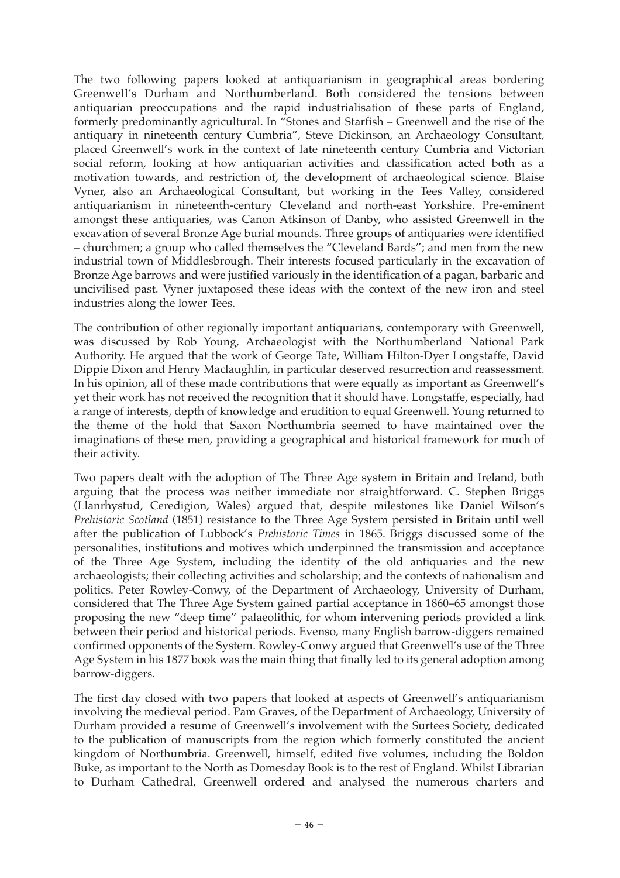The two following papers looked at antiquarianism in geographical areas bordering Greenwell's Durham and Northumberland. Both considered the tensions between antiquarian preoccupations and the rapid industrialisation of these parts of England, formerly predominantly agricultural. In "Stones and Starfish – Greenwell and the rise of the antiquary in nineteenth century Cumbria", Steve Dickinson, an Archaeology Consultant, placed Greenwell's work in the context of late nineteenth century Cumbria and Victorian social reform, looking at how antiquarian activities and classification acted both as a motivation towards, and restriction of, the development of archaeological science. Blaise Vyner, also an Archaeological Consultant, but working in the Tees Valley, considered antiquarianism in nineteenth-century Cleveland and north-east Yorkshire. Pre-eminent amongst these antiquaries, was Canon Atkinson of Danby, who assisted Greenwell in the excavation of several Bronze Age burial mounds. Three groups of antiquaries were identified – churchmen; a group who called themselves the "Cleveland Bards"; and men from the new industrial town of Middlesbrough. Their interests focused particularly in the excavation of Bronze Age barrows and were justified variously in the identification of a pagan, barbaric and uncivilised past. Vyner juxtaposed these ideas with the context of the new iron and steel industries along the lower Tees.

The contribution of other regionally important antiquarians, contemporary with Greenwell, was discussed by Rob Young, Archaeologist with the Northumberland National Park Authority. He argued that the work of George Tate, William Hilton-Dyer Longstaffe, David Dippie Dixon and Henry Maclaughlin, in particular deserved resurrection and reassessment. In his opinion, all of these made contributions that were equally as important as Greenwell's yet their work has not received the recognition that it should have. Longstaffe, especially, had a range of interests, depth of knowledge and erudition to equal Greenwell. Young returned to the theme of the hold that Saxon Northumbria seemed to have maintained over the imaginations of these men, providing a geographical and historical framework for much of their activity.

Two papers dealt with the adoption of The Three Age system in Britain and Ireland, both arguing that the process was neither immediate nor straightforward. C. Stephen Briggs (Llanrhystud, Ceredigion, Wales) argued that, despite milestones like Daniel Wilson's *Prehistoric Scotland* (1851) resistance to the Three Age System persisted in Britain until well after the publication of Lubbock's *Prehistoric Times* in 1865. Briggs discussed some of the personalities, institutions and motives which underpinned the transmission and acceptance of the Three Age System, including the identity of the old antiquaries and the new archaeologists; their collecting activities and scholarship; and the contexts of nationalism and politics. Peter Rowley-Conwy, of the Department of Archaeology, University of Durham, considered that The Three Age System gained partial acceptance in 1860–65 amongst those proposing the new "deep time" palaeolithic, for whom intervening periods provided a link between their period and historical periods. Evenso, many English barrow-diggers remained confirmed opponents of the System. Rowley-Conwy argued that Greenwell's use of the Three Age System in his 1877 book was the main thing that finally led to its general adoption among barrow-diggers.

The first day closed with two papers that looked at aspects of Greenwell's antiquarianism involving the medieval period. Pam Graves, of the Department of Archaeology, University of Durham provided a resume of Greenwell's involvement with the Surtees Society, dedicated to the publication of manuscripts from the region which formerly constituted the ancient kingdom of Northumbria. Greenwell, himself, edited five volumes, including the Boldon Buke, as important to the North as Domesday Book is to the rest of England. Whilst Librarian to Durham Cathedral, Greenwell ordered and analysed the numerous charters and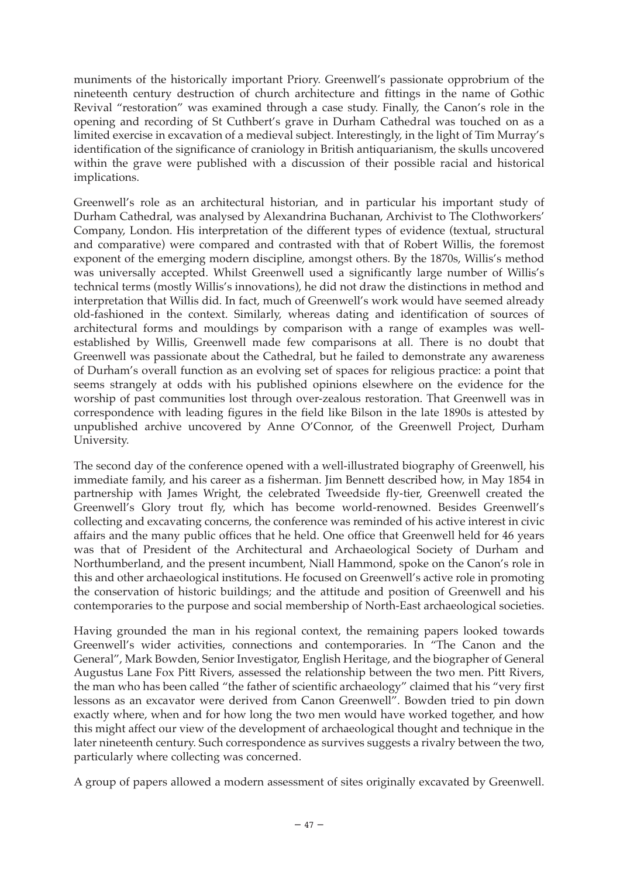muniments of the historically important Priory. Greenwell's passionate opprobrium of the nineteenth century destruction of church architecture and fittings in the name of Gothic Revival "restoration" was examined through a case study. Finally, the Canon's role in the opening and recording of St Cuthbert's grave in Durham Cathedral was touched on as a limited exercise in excavation of a medieval subject. Interestingly, in the light of Tim Murray's identification of the significance of craniology in British antiquarianism, the skulls uncovered within the grave were published with a discussion of their possible racial and historical implications.

Greenwell's role as an architectural historian, and in particular his important study of Durham Cathedral, was analysed by Alexandrina Buchanan, Archivist to The Clothworkers' Company, London. His interpretation of the different types of evidence (textual, structural and comparative) were compared and contrasted with that of Robert Willis, the foremost exponent of the emerging modern discipline, amongst others. By the 1870s, Willis's method was universally accepted. Whilst Greenwell used a significantly large number of Willis's technical terms (mostly Willis's innovations), he did not draw the distinctions in method and interpretation that Willis did. In fact, much of Greenwell's work would have seemed already old-fashioned in the context. Similarly, whereas dating and identification of sources of architectural forms and mouldings by comparison with a range of examples was wellestablished by Willis, Greenwell made few comparisons at all. There is no doubt that Greenwell was passionate about the Cathedral, but he failed to demonstrate any awareness of Durham's overall function as an evolving set of spaces for religious practice: a point that seems strangely at odds with his published opinions elsewhere on the evidence for the worship of past communities lost through over-zealous restoration. That Greenwell was in correspondence with leading figures in the field like Bilson in the late 1890s is attested by unpublished archive uncovered by Anne O'Connor, of the Greenwell Project, Durham University.

The second day of the conference opened with a well-illustrated biography of Greenwell, his immediate family, and his career as a fisherman. Jim Bennett described how, in May 1854 in partnership with James Wright, the celebrated Tweedside fly-tier, Greenwell created the Greenwell's Glory trout fly, which has become world-renowned. Besides Greenwell's collecting and excavating concerns, the conference was reminded of his active interest in civic affairs and the many public offices that he held. One office that Greenwell held for 46 years was that of President of the Architectural and Archaeological Society of Durham and Northumberland, and the present incumbent, Niall Hammond, spoke on the Canon's role in this and other archaeological institutions. He focused on Greenwell's active role in promoting the conservation of historic buildings; and the attitude and position of Greenwell and his contemporaries to the purpose and social membership of North-East archaeological societies.

Having grounded the man in his regional context, the remaining papers looked towards Greenwell's wider activities, connections and contemporaries. In "The Canon and the General", Mark Bowden, Senior Investigator, English Heritage, and the biographer of General Augustus Lane Fox Pitt Rivers, assessed the relationship between the two men. Pitt Rivers, the man who has been called "the father of scientific archaeology" claimed that his "very first lessons as an excavator were derived from Canon Greenwell". Bowden tried to pin down exactly where, when and for how long the two men would have worked together, and how this might affect our view of the development of archaeological thought and technique in the later nineteenth century. Such correspondence as survives suggests a rivalry between the two, particularly where collecting was concerned.

A group of papers allowed a modern assessment of sites originally excavated by Greenwell.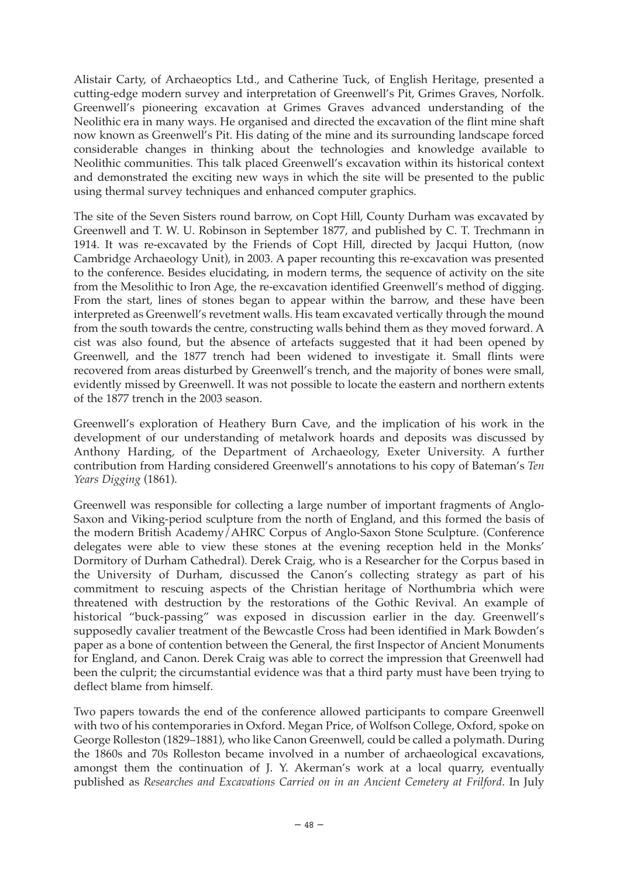Alistair Carty, of Archaeoptics Ltd., and Catherine Tuck, of English Heritage, presented a cutting-edge modern survey and interpretation of Greenwell's Pit, Grimes Graves, Norfolk. Greenwell's pioneering excavation at Grimes Graves advanced understanding of the Neolithic era in many ways. He organised and directed the excavation of the flint mine shaft now known as Greenwell's Pit. His dating of the mine and its surrounding landscape forced considerable changes in thinking about the technologies and knowledge available to Neolithic communities. This talk placed Greenwell's excavation within its historical context and demonstrated the exciting new ways in which the site will be presented to the public using thermal survey techniques and enhanced computer graphics.

The site of the Seven Sisters round barrow, on Copt Hill, County Durham was excavated by Greenwell and T. W. U. Robinson in September 1877, and published by C. T. Trechmann in 1914. It was re-excavated by the Friends of Copt Hill, directed by Jacqui Hutton, (now Cambridge Archaeology Unit), in 2003. A paper recounting this re-excavation was presented to the conference. Besides elucidating, in modern terms, the sequence of activity on the site from the Mesolithic to Iron Age, the re-excavation identified Greenwell's method of digging. From the start, lines of stones began to appear within the barrow, and these have been interpreted as Greenwell's revetment walls. His team excavated vertically through the mound from the south towards the centre, constructing walls behind them as they moved forward. A cist was also found, but the absence of artefacts suggested that it had been opened by Greenwell, and the 1877 trench had been widened to investigate it. Small flints were recovered from areas disturbed by Greenwell's trench, and the majority of bones were small, evidently missed by Greenwell. It was not possible to locate the eastern and northern extents of the 1877 trench in the 2003 season.

Greenwell's exploration of Heathery Burn Cave, and the implication of his work in the development of our understanding of metalwork hoards and deposits was discussed by Anthony Harding, of the Department of Archaeology, Exeter University. A further contribution from Harding considered Greenwell's annotations to his copy of Bateman's *Ten Years Digging* (1861).

Greenwell was responsible for collecting a large number of important fragments of Anglo-Saxon and Viking-period sculpture from the north of England, and this formed the basis of the modern British Academy/AHRC Corpus of Anglo-Saxon Stone Sculpture. (Conference delegates were able to view these stones at the evening reception held in the Monks' Dormitory of Durham Cathedral). Derek Craig, who is a Researcher for the Corpus based in the University of Durham, discussed the Canon's collecting strategy as part of his commitment to rescuing aspects of the Christian heritage of Northumbria which were threatened with destruction by the restorations of the Gothic Revival. An example of historical "buck-passing" was exposed in discussion earlier in the day. Greenwell's supposedly cavalier treatment of the Bewcastle Cross had been identified in Mark Bowden's paper as a bone of contention between the General, the first Inspector of Ancient Monuments for England, and Canon. Derek Craig was able to correct the impression that Greenwell had been the culprit; the circumstantial evidence was that a third party must have been trying to deflect blame from himself.

Two papers towards the end of the conference allowed participants to compare Greenwell with two of his contemporaries in Oxford. Megan Price, of Wolfson College, Oxford, spoke on George Rolleston (1829–1881), who like Canon Greenwell, could be called a polymath. During the 1860s and 70s Rolleston became involved in a number of archaeological excavations, amongst them the continuation of J. Y. Akerman's work at a local quarry, eventually published as *Researches and Excavations Carried on in an Ancient Cemetery at Frilford*. In July